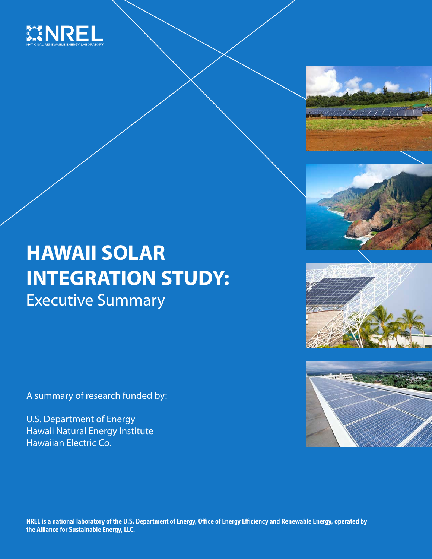

# **HAWAII SOLAR INTEGRATION STUDY:** Executive Summary

A summary of research funded by:

U.S. Department of Energy Hawaii Natural Energy Institute Hawaiian Electric Co.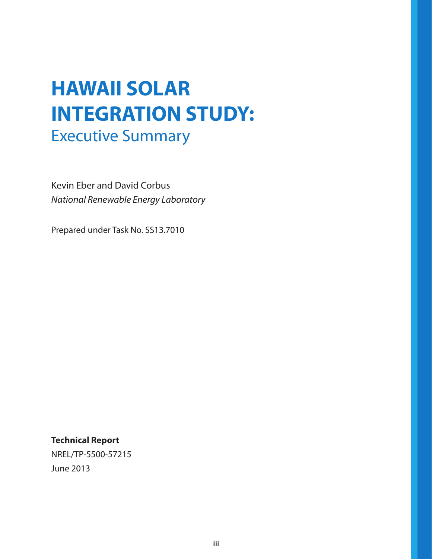# **HAWAII SOLAR INTEGRATION STUDY:** Executive Summary

Kevin Eber and David Corbus *National Renewable Energy Laboratory*

Prepared under Task No. SS13.7010

**Technical Report**

NREL/TP-5500-57215 June 2013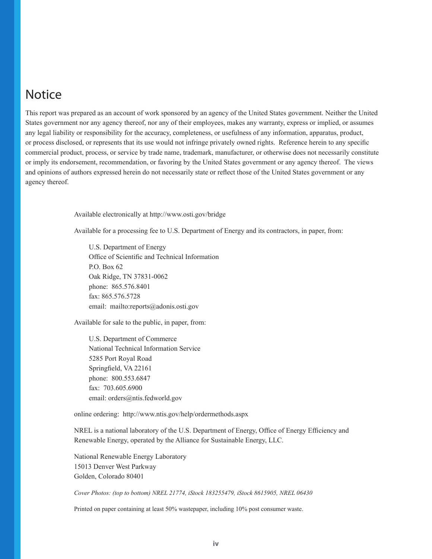### **Notice**

This report was prepared as an account of work sponsored by an agency of the United States government. Neither the United States government nor any agency thereof, nor any of their employees, makes any warranty, express or implied, or assumes any legal liability or responsibility for the accuracy, completeness, or usefulness of any information, apparatus, product, or process disclosed, or represents that its use would not infringe privately owned rights. Reference herein to any specific commercial product, process, or service by trade name, trademark, manufacturer, or otherwise does not necessarily constitute or imply its endorsement, recommendation, or favoring by the United States government or any agency thereof. The views and opinions of authors expressed herein do not necessarily state or reflect those of the United States government or any agency thereof.

Available electronically at http://www.osti.gov/bridge

Available for a processing fee to U.S. Department of Energy and its contractors, in paper, from:

U.S. Department of Energy Office of Scientific and Technical Information P.O. Box 62 Oak Ridge, TN 37831-0062 phone: 865.576.8401 fax: 865.576.5728 email: mailto:reports@adonis.osti.gov

Available for sale to the public, in paper, from:

U.S. Department of Commerce National Technical Information Service 5285 Port Royal Road Springfield, VA 22161 phone: 800.553.6847 fax: 703.605.6900 email: orders@ntis.fedworld.gov

online ordering: http://www.ntis.gov/help/ordermethods.aspx

NREL is a national laboratory of the U.S. Department of Energy, Office of Energy Efficiency and Renewable Energy, operated by the Alliance for Sustainable Energy, LLC.

National Renewable Energy Laboratory 15013 Denver West Parkway Golden, Colorado 80401

*Cover Photos: (top to bottom) NREL 21774, iStock 183255479, iStock 8615905, NREL 06430*

Printed on paper containing at least 50% wastepaper, including 10% post consumer waste.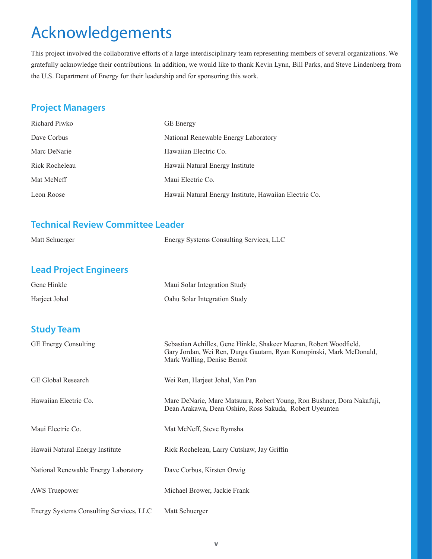# Acknowledgements

This project involved the collaborative efforts of a large interdisciplinary team representing members of several organizations. We gratefully acknowledge their contributions. In addition, we would like to thank Kevin Lynn, Bill Parks, and Steve Lindenberg from the U.S. Department of Energy for their leadership and for sponsoring this work.

#### **Project Managers**

| Richard Piwko  | <b>GE</b> Energy                                       |
|----------------|--------------------------------------------------------|
| Dave Corbus    | National Renewable Energy Laboratory                   |
| Marc DeNarie   | Hawaiian Electric Co.                                  |
| Rick Rocheleau | Hawaii Natural Energy Institute                        |
| Mat McNeff     | Maui Electric Co.                                      |
| Leon Roose     | Hawaii Natural Energy Institute, Hawaiian Electric Co. |

#### **Technical Review Committee Leader**

| Matt Schuerger                | Energy Systems Consulting Services, LLC                                                                                                                                  |  |  |
|-------------------------------|--------------------------------------------------------------------------------------------------------------------------------------------------------------------------|--|--|
| <b>Lead Project Engineers</b> |                                                                                                                                                                          |  |  |
| Gene Hinkle                   | Maui Solar Integration Study                                                                                                                                             |  |  |
| Harjeet Johal                 | Oahu Solar Integration Study                                                                                                                                             |  |  |
|                               |                                                                                                                                                                          |  |  |
| <b>Study Team</b>             |                                                                                                                                                                          |  |  |
| <b>GE Energy Consulting</b>   | Sebastian Achilles, Gene Hinkle, Shakeer Meeran, Robert Woodfield,<br>Gary Jordan, Wei Ren, Durga Gautam, Ryan Konopinski, Mark McDonald,<br>Mark Walling, Denise Benoit |  |  |
| <b>GE Global Research</b>     | Wei Ren, Harjeet Johal, Yan Pan                                                                                                                                          |  |  |
| Hawaiian Electric Co.         | Marc DeNarie, Marc Matsuura, Robert Young, Ron Bushner, Dora Nakafuji,<br>Dean Arakawa, Dean Oshiro, Ross Sakuda, Robert Uyeunten                                        |  |  |
| Maui Electric Co.             | Mat McNeff, Steve Rymsha                                                                                                                                                 |  |  |
|                               |                                                                                                                                                                          |  |  |

Hawaii Natural Energy Institute Rick Rocheleau, Larry Cutshaw, Jay Griffin

National Renewable Energy Laboratory Dave Corbus, Kirsten Orwig

AWS Truepower Michael Brower, Jackie Frank

Energy Systems Consulting Services, LLC Matt Schuerger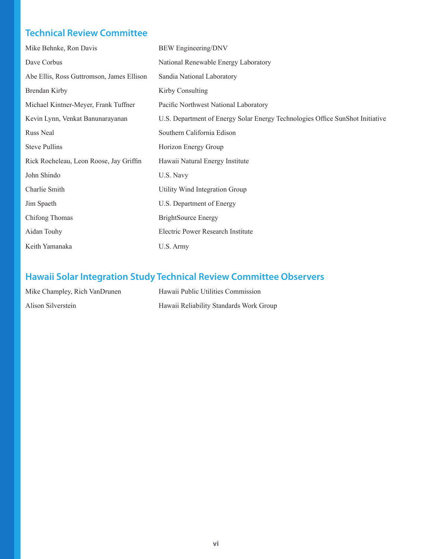### **Technical Review Committee**

| Mike Behnke, Ron Davis                    | <b>BEW</b> Engineering/DNV                                                    |
|-------------------------------------------|-------------------------------------------------------------------------------|
| Dave Corbus                               | National Renewable Energy Laboratory                                          |
| Abe Ellis, Ross Guttromson, James Ellison | Sandia National Laboratory                                                    |
| Brendan Kirby                             | Kirby Consulting                                                              |
| Michael Kintner-Meyer, Frank Tuffner      | Pacific Northwest National Laboratory                                         |
| Kevin Lynn, Venkat Banunarayanan          | U.S. Department of Energy Solar Energy Technologies Office SunShot Initiative |
| Russ Neal                                 | Southern California Edison                                                    |
| <b>Steve Pullins</b>                      | Horizon Energy Group                                                          |
| Rick Rocheleau, Leon Roose, Jay Griffin   | Hawaii Natural Energy Institute                                               |
| John Shindo                               | U.S. Navy                                                                     |
| Charlie Smith                             | Utility Wind Integration Group                                                |
| Jim Spaeth                                | U.S. Department of Energy                                                     |
| Chifong Thomas                            | <b>BrightSource Energy</b>                                                    |
| Aidan Touhy                               | Electric Power Research Institute                                             |
| Keith Yamanaka                            | U.S. Army                                                                     |

### **Hawaii Solar Integration Study Technical Review Committee Observers**

| Mike Champley, Rich VanDrunen | Hawaii Public Utilities Commission      |
|-------------------------------|-----------------------------------------|
| Alison Silverstein            | Hawaii Reliability Standards Work Group |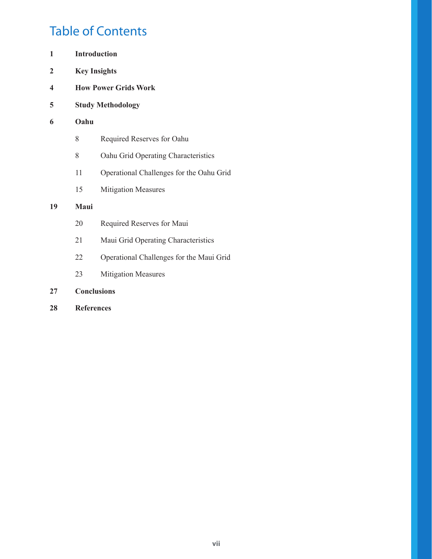## Table of Contents

| 1  | <b>Introduction</b> |                                          |  |
|----|---------------------|------------------------------------------|--|
| 2  | <b>Key Insights</b> |                                          |  |
| 4  |                     | <b>How Power Grids Work</b>              |  |
| 5  |                     | <b>Study Methodology</b>                 |  |
| 6  | Oahu                |                                          |  |
|    | 8                   | Required Reserves for Oahu               |  |
|    | 8                   | Oahu Grid Operating Characteristics      |  |
|    | 11                  | Operational Challenges for the Oahu Grid |  |
|    | 15                  | <b>Mitigation Measures</b>               |  |
| 19 | Maui                |                                          |  |
|    | 20                  | Required Reserves for Maui               |  |
|    | 21                  | Maui Grid Operating Characteristics      |  |
|    | 22                  | Operational Challenges for the Maui Grid |  |
|    | 23                  | <b>Mitigation Measures</b>               |  |
| 27 | <b>Conclusions</b>  |                                          |  |
| 28 | <b>References</b>   |                                          |  |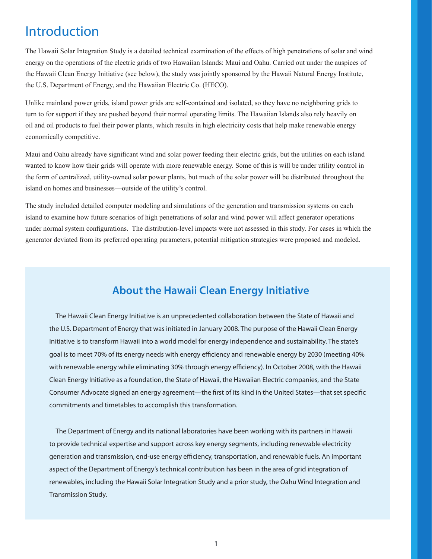## Introduction

The Hawaii Solar Integration Study is a detailed technical examination of the effects of high penetrations of solar and wind energy on the operations of the electric grids of two Hawaiian Islands: Maui and Oahu. Carried out under the auspices of the Hawaii Clean Energy Initiative (see below), the study was jointly sponsored by the Hawaii Natural Energy Institute, the U.S. Department of Energy, and the Hawaiian Electric Co. (HECO).

Unlike mainland power grids, island power grids are self-contained and isolated, so they have no neighboring grids to turn to for support if they are pushed beyond their normal operating limits. The Hawaiian Islands also rely heavily on oil and oil products to fuel their power plants, which results in high electricity costs that help make renewable energy economically competitive.

Maui and Oahu already have significant wind and solar power feeding their electric grids, but the utilities on each island wanted to know how their grids will operate with more renewable energy. Some of this is will be under utility control in the form of centralized, utility-owned solar power plants, but much of the solar power will be distributed throughout the island on homes and businesses—outside of the utility's control.

The study included detailed computer modeling and simulations of the generation and transmission systems on each island to examine how future scenarios of high penetrations of solar and wind power will affect generator operations under normal system configurations. The distribution-level impacts were not assessed in this study. For cases in which the generator deviated from its preferred operating parameters, potential mitigation strategies were proposed and modeled.

#### **About the Hawaii Clean Energy Initiative**

The Hawaii Clean Energy Initiative is an unprecedented collaboration between the State of Hawaii and the U.S. Department of Energy that was initiated in January 2008. The purpose of the Hawaii Clean Energy Initiative is to transform Hawaii into a world model for energy independence and sustainability. The state's goal is to meet 70% of its energy needs with energy efficiency and renewable energy by 2030 (meeting 40% with renewable energy while eliminating 30% through energy efficiency). In October 2008, with the Hawaii Clean Energy Initiative as a foundation, the State of Hawaii, the Hawaiian Electric companies, and the State Consumer Advocate signed an energy agreement—the first of its kind in the United States—that set specific commitments and timetables to accomplish this transformation.

The Department of Energy and its national laboratories have been working with its partners in Hawaii to provide technical expertise and support across key energy segments, including renewable electricity generation and transmission, end-use energy efficiency, transportation, and renewable fuels. An important aspect of the Department of Energy's technical contribution has been in the area of grid integration of renewables, including the Hawaii Solar Integration Study and a prior study, the Oahu Wind Integration and Transmission Study.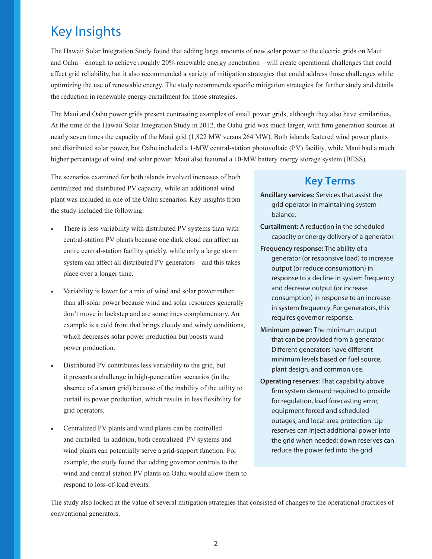## Key Insights

The Hawaii Solar Integration Study found that adding large amounts of new solar power to the electric grids on Maui and Oahu—enough to achieve roughly 20% renewable energy penetration—will create operational challenges that could affect grid reliability, but it also recommended a variety of mitigation strategies that could address those challenges while optimizing the use of renewable energy. The study recommends specific mitigation strategies for further study and details the reduction in renewable energy curtailment for those strategies.

The Maui and Oahu power grids present contrasting examples of small power grids, although they also have similarities. At the time of the Hawaii Solar Integration Study in 2012, the Oahu grid was much larger, with firm generation sources at nearly seven times the capacity of the Maui grid (1,822 MW versus 264 MW). Both islands featured wind power plants and distributed solar power, but Oahu included a 1-MW central-station photovoltaic (PV) facility, while Maui had a much higher percentage of wind and solar power. Maui also featured a 10-MW battery energy storage system (BESS).

The scenarios examined for both islands involved increases of both centralized and distributed PV capacity, while an additional wind plant was included in one of the Oahu scenarios. Key insights from the study included the following:

- There is less variability with distributed PV systems than with central-station PV plants because one dark cloud can affect an entire central-station facility quickly, while only a large storm system can affect all distributed PV generators—and this takes place over a longer time.
- Variability is lower for a mix of wind and solar power rather than all-solar power because wind and solar resources generally don't move in lockstep and are sometimes complementary. An example is a cold front that brings cloudy and windy conditions, which decreases solar power production but boosts wind power production.
- Distributed PV contributes less variability to the grid, but it presents a challenge in high-penetration scenarios (in the absence of a smart grid) because of the inability of the utility to curtail its power production, which results in less flexibility for grid operators.
- Centralized PV plants and wind plants can be controlled and curtailed. In addition, both centralized PV systems and wind plants can potentially serve a grid-support function. For example, the study found that adding governor controls to the wind and central-station PV plants on Oahu would allow them to respond to loss-of-load events.

### **Key Terms**

- **Ancillary services:** Services that assist the grid operator in maintaining system balance.
- **Curtailment:** A reduction in the scheduled capacity or energy delivery of a generator.
- **Frequency response:** The ability of a generator (or responsive load) to increase output (or reduce consumption) in response to a decline in system frequency and decrease output (or increase consumption) in response to an increase in system frequency. For generators, this requires governor response.
- **Minimum power:** The minimum output that can be provided from a generator. Different generators have different minimum levels based on fuel source, plant design, and common use.
- **Operating reserves:** That capability above firm system demand required to provide for regulation, load forecasting error, equipment forced and scheduled outages, and local area protection. Up reserves can inject additional power into the grid when needed; down reserves can reduce the power fed into the grid.

The study also looked at the value of several mitigation strategies that consisted of changes to the operational practices of conventional generators.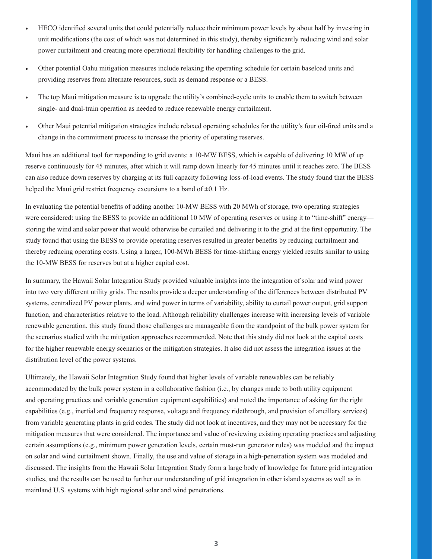- HECO identified several units that could potentially reduce their minimum power levels by about half by investing in unit modifications (the cost of which was not determined in this study), thereby significantly reducing wind and solar power curtailment and creating more operational flexibility for handling challenges to the grid.
- Other potential Oahu mitigation measures include relaxing the operating schedule for certain baseload units and providing reserves from alternate resources, such as demand response or a BESS.
- The top Maui mitigation measure is to upgrade the utility's combined-cycle units to enable them to switch between single- and dual-train operation as needed to reduce renewable energy curtailment.
- Other Maui potential mitigation strategies include relaxed operating schedules for the utility's four oil-fired units and a change in the commitment process to increase the priority of operating reserves.

Maui has an additional tool for responding to grid events: a 10-MW BESS, which is capable of delivering 10 MW of up reserve continuously for 45 minutes, after which it will ramp down linearly for 45 minutes until it reaches zero. The BESS can also reduce down reserves by charging at its full capacity following loss-of-load events. The study found that the BESS helped the Maui grid restrict frequency excursions to a band of  $\pm 0.1$  Hz.

In evaluating the potential benefits of adding another 10-MW BESS with 20 MWh of storage, two operating strategies were considered: using the BESS to provide an additional 10 MW of operating reserves or using it to "time-shift" energy storing the wind and solar power that would otherwise be curtailed and delivering it to the grid at the first opportunity. The study found that using the BESS to provide operating reserves resulted in greater benefits by reducing curtailment and thereby reducing operating costs. Using a larger, 100-MWh BESS for time-shifting energy yielded results similar to using the 10-MW BESS for reserves but at a higher capital cost.

In summary, the Hawaii Solar Integration Study provided valuable insights into the integration of solar and wind power into two very different utility grids. The results provide a deeper understanding of the differences between distributed PV systems, centralized PV power plants, and wind power in terms of variability, ability to curtail power output, grid support function, and characteristics relative to the load. Although reliability challenges increase with increasing levels of variable renewable generation, this study found those challenges are manageable from the standpoint of the bulk power system for the scenarios studied with the mitigation approaches recommended. Note that this study did not look at the capital costs for the higher renewable energy scenarios or the mitigation strategies. It also did not assess the integration issues at the distribution level of the power systems.

Ultimately, the Hawaii Solar Integration Study found that higher levels of variable renewables can be reliably accommodated by the bulk power system in a collaborative fashion (i.e., by changes made to both utility equipment and operating practices and variable generation equipment capabilities) and noted the importance of asking for the right capabilities (e.g., inertial and frequency response, voltage and frequency ridethrough, and provision of ancillary services) from variable generating plants in grid codes. The study did not look at incentives, and they may not be necessary for the mitigation measures that were considered. The importance and value of reviewing existing operating practices and adjusting certain assumptions (e.g., minimum power generation levels, certain must-run generator rules) was modeled and the impact on solar and wind curtailment shown. Finally, the use and value of storage in a high-penetration system was modeled and discussed. The insights from the Hawaii Solar Integration Study form a large body of knowledge for future grid integration studies, and the results can be used to further our understanding of grid integration in other island systems as well as in mainland U.S. systems with high regional solar and wind penetrations.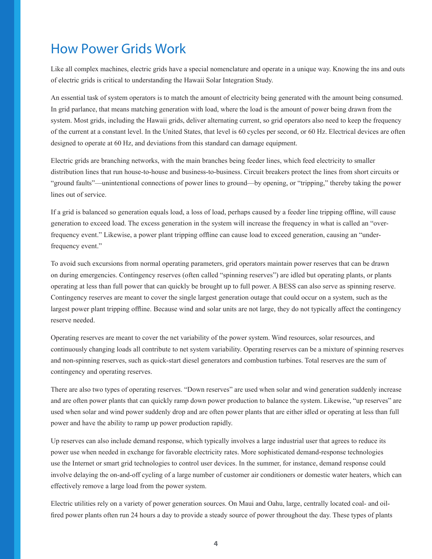## How Power Grids Work

Like all complex machines, electric grids have a special nomenclature and operate in a unique way. Knowing the ins and outs of electric grids is critical to understanding the Hawaii Solar Integration Study.

An essential task of system operators is to match the amount of electricity being generated with the amount being consumed. In grid parlance, that means matching generation with load, where the load is the amount of power being drawn from the system. Most grids, including the Hawaii grids, deliver alternating current, so grid operators also need to keep the frequency of the current at a constant level. In the United States, that level is 60 cycles per second, or 60 Hz. Electrical devices are often designed to operate at 60 Hz, and deviations from this standard can damage equipment.

Electric grids are branching networks, with the main branches being feeder lines, which feed electricity to smaller distribution lines that run house-to-house and business-to-business. Circuit breakers protect the lines from short circuits or "ground faults"—unintentional connections of power lines to ground—by opening, or "tripping," thereby taking the power lines out of service.

If a grid is balanced so generation equals load, a loss of load, perhaps caused by a feeder line tripping offline, will cause generation to exceed load. The excess generation in the system will increase the frequency in what is called an "overfrequency event." Likewise, a power plant tripping offline can cause load to exceed generation, causing an "underfrequency event."

To avoid such excursions from normal operating parameters, grid operators maintain power reserves that can be drawn on during emergencies. Contingency reserves (often called "spinning reserves") are idled but operating plants, or plants operating at less than full power that can quickly be brought up to full power. A BESS can also serve as spinning reserve. Contingency reserves are meant to cover the single largest generation outage that could occur on a system, such as the largest power plant tripping offline. Because wind and solar units are not large, they do not typically affect the contingency reserve needed.

Operating reserves are meant to cover the net variability of the power system. Wind resources, solar resources, and continuously changing loads all contribute to net system variability. Operating reserves can be a mixture of spinning reserves and non-spinning reserves, such as quick-start diesel generators and combustion turbines. Total reserves are the sum of contingency and operating reserves.

There are also two types of operating reserves. "Down reserves" are used when solar and wind generation suddenly increase and are often power plants that can quickly ramp down power production to balance the system. Likewise, "up reserves" are used when solar and wind power suddenly drop and are often power plants that are either idled or operating at less than full power and have the ability to ramp up power production rapidly.

Up reserves can also include demand response, which typically involves a large industrial user that agrees to reduce its power use when needed in exchange for favorable electricity rates. More sophisticated demand-response technologies use the Internet or smart grid technologies to control user devices. In the summer, for instance, demand response could involve delaying the on-and-off cycling of a large number of customer air conditioners or domestic water heaters, which can effectively remove a large load from the power system.

Electric utilities rely on a variety of power generation sources. On Maui and Oahu, large, centrally located coal- and oilfired power plants often run 24 hours a day to provide a steady source of power throughout the day. These types of plants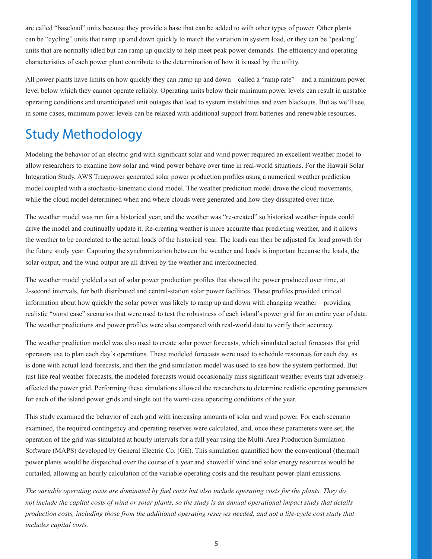are called "baseload" units because they provide a base that can be added to with other types of power. Other plants can be "cycling" units that ramp up and down quickly to match the variation in system load, or they can be "peaking" units that are normally idled but can ramp up quickly to help meet peak power demands. The efficiency and operating characteristics of each power plant contribute to the determination of how it is used by the utility.

All power plants have limits on how quickly they can ramp up and down—called a "ramp rate"—and a minimum power level below which they cannot operate reliably. Operating units below their minimum power levels can result in unstable operating conditions and unanticipated unit outages that lead to system instabilities and even blackouts. But as we'll see, in some cases, minimum power levels can be relaxed with additional support from batteries and renewable resources.

## Study Methodology

Modeling the behavior of an electric grid with significant solar and wind power required an excellent weather model to allow researchers to examine how solar and wind power behave over time in real-world situations. For the Hawaii Solar Integration Study, AWS Truepower generated solar power production profiles using a numerical weather prediction model coupled with a stochastic-kinematic cloud model. The weather prediction model drove the cloud movements, while the cloud model determined when and where clouds were generated and how they dissipated over time.

The weather model was run for a historical year, and the weather was "re-created" so historical weather inputs could drive the model and continually update it. Re-creating weather is more accurate than predicting weather, and it allows the weather to be correlated to the actual loads of the historical year. The loads can then be adjusted for load growth for the future study year. Capturing the synchronization between the weather and loads is important because the loads, the solar output, and the wind output are all driven by the weather and interconnected.

The weather model yielded a set of solar power production profiles that showed the power produced over time, at 2-second intervals, for both distributed and central-station solar power facilities. These profiles provided critical information about how quickly the solar power was likely to ramp up and down with changing weather—providing realistic "worst case" scenarios that were used to test the robustness of each island's power grid for an entire year of data. The weather predictions and power profiles were also compared with real-world data to verify their accuracy.

The weather prediction model was also used to create solar power forecasts, which simulated actual forecasts that grid operators use to plan each day's operations. These modeled forecasts were used to schedule resources for each day, as is done with actual load forecasts, and then the grid simulation model was used to see how the system performed. But just like real weather forecasts, the modeled forecasts would occasionally miss significant weather events that adversely affected the power grid. Performing these simulations allowed the researchers to determine realistic operating parameters for each of the island power grids and single out the worst-case operating conditions of the year.

This study examined the behavior of each grid with increasing amounts of solar and wind power. For each scenario examined, the required contingency and operating reserves were calculated, and, once these parameters were set, the operation of the grid was simulated at hourly intervals for a full year using the Multi-Area Production Simulation Software (MAPS) developed by General Electric Co. (GE). This simulation quantified how the conventional (thermal) power plants would be dispatched over the course of a year and showed if wind and solar energy resources would be curtailed, allowing an hourly calculation of the variable operating costs and the resultant power-plant emissions.

*The variable operating costs are dominated by fuel costs but also include operating costs for the plants. They do not include the capital costs of wind or solar plants, so the study is an annual operational impact study that details production costs, including those from the additional operating reserves needed, and not a life-cycle cost study that includes capital costs.*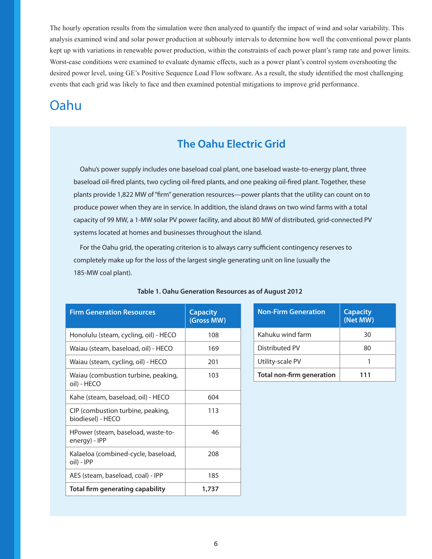The hourly operation results from the simulation were then analyzed to quantify the impact of wind and solar variability. This analysis examined wind and solar power production at subhourly intervals to determine how well the conventional power plants kept up with variations in renewable power production, within the constraints of each power plant's ramp rate and power limits. Worst-case conditions were examined to evaluate dynamic effects, such as a power plant's control system overshooting the desired power level, using GE's Positive Sequence Load Flow software. As a result, the study identified the most challenging events that each grid was likely to face and then examined potential mitigations to improve grid performance.

## Oahu

### **The Oahu Electric Grid**

Oahu's power supply includes one baseload coal plant, one baseload waste-to-energy plant, three baseload oil-fired plants, two cycling oil-fired plants, and one peaking oil-fired plant. Together, these plants provide 1,822 MW of "firm" generation resources—power plants that the utility can count on to produce power when they are in service. In addition, the island draws on two wind farms with a total capacity of 99 MW, a 1-MW solar PV power facility, and about 80 MW of distributed, grid-connected PV systems located at homes and businesses throughout the island.

For the Oahu grid, the operating criterion is to always carry sufficient contingency reserves to completely make up for the loss of the largest single generating unit on line (usually the 185-MW coal plant).

| <b>Firm Generation Resources</b>                       | <b>Capacity</b><br>(Gross MW) | <b>Non-Firm Generation</b>       | <b>Capacity</b><br>(Net MW) |
|--------------------------------------------------------|-------------------------------|----------------------------------|-----------------------------|
| Honolulu (steam, cycling, oil) - HECO                  | 108                           | Kahuku wind farm                 | 30                          |
| Waiau (steam, baseload, oil) - HECO                    | 169                           | Distributed PV                   | 80                          |
| Waiau (steam, cycling, oil) - HECO                     | 201                           | Utility-scale PV                 |                             |
| Waiau (combustion turbine, peaking,<br>oil) - HECO     | 103                           | <b>Total non-firm generation</b> | 111                         |
| Kahe (steam, baseload, oil) - HECO                     | 604                           |                                  |                             |
| CIP (combustion turbine, peaking,<br>biodiesel) - HECO | 113                           |                                  |                             |
| HPower (steam, baseload, waste-to-<br>energy) - IPP    | 46                            |                                  |                             |
| Kalaeloa (combined-cycle, baseload,<br>oil) - IPP      | 208                           |                                  |                             |
| AES (steam, baseload, coal) - IPP                      | 185                           |                                  |                             |
| <b>Total firm generating capability</b>                | 1,737                         |                                  |                             |

| Table 1. Oahu Generation Resources as of August 2012 |  |  |
|------------------------------------------------------|--|--|
|                                                      |  |  |

| <b>Non-Firm Generation</b>       | <b>Capacity</b><br>(Net MW) |
|----------------------------------|-----------------------------|
| Kahuku wind farm                 | 30                          |
| Distributed PV                   | 80                          |
| Utility-scale PV                 |                             |
| <b>Total non-firm generation</b> | 111                         |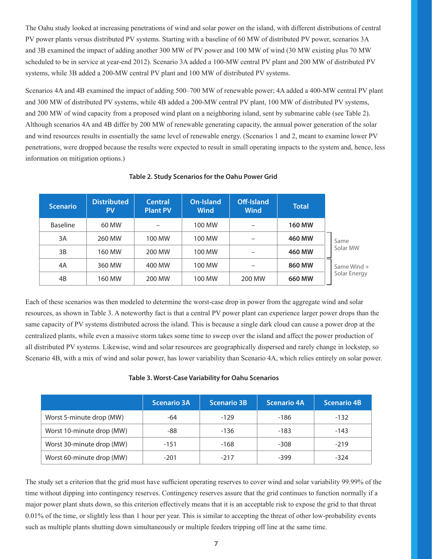The Oahu study looked at increasing penetrations of wind and solar power on the island, with different distributions of central PV power plants versus distributed PV systems. Starting with a baseline of 60 MW of distributed PV power, scenarios 3A and 3B examined the impact of adding another 300 MW of PV power and 100 MW of wind (30 MW existing plus 70 MW scheduled to be in service at year-end 2012). Scenario 3A added a 100-MW central PV plant and 200 MW of distributed PV systems, while 3B added a 200-MW central PV plant and 100 MW of distributed PV systems.

Scenarios 4A and 4B examined the impact of adding 500–700 MW of renewable power; 4A added a 400-MW central PV plant and 300 MW of distributed PV systems, while 4B added a 200-MW central PV plant, 100 MW of distributed PV systems, and 200 MW of wind capacity from a proposed wind plant on a neighboring island, sent by submarine cable (see Table 2). Although scenarios 4A and 4B differ by 200 MW of renewable generating capacity, the annual power generation of the solar and wind resources results in essentially the same level of renewable energy. (Scenarios 1 and 2, meant to examine lower PV penetrations, were dropped because the results were expected to result in small operating impacts to the system and, hence, less information on mitigation options.)

| <b>Scenario</b> | <b>Distributed</b><br><b>PV</b> | <b>Central</b><br><b>Plant PV</b> | On-Island<br><b>Wind</b> | Off-Island<br><b>Wind</b> | <b>Total</b>  |               |
|-----------------|---------------------------------|-----------------------------------|--------------------------|---------------------------|---------------|---------------|
| <b>Baseline</b> | 60 MW                           |                                   | 100 MW                   |                           | <b>160 MW</b> |               |
| 3A              | 260 MW                          | 100 MW                            | 100 MW                   | -                         | 460 MW        | Same          |
| 3B              | 160 MW                          | 200 MW                            | 100 MW                   | -                         | 460 MW        | Solar MW      |
| 4A              | 360 MW                          | 400 MW                            | 100 MW                   |                           | 860 MW        | Same Wind $+$ |
| 4B              | 160 MW                          | 200 MW                            | 100 MW                   | 200 MW                    | 660 MW        | Solar Energy  |

#### **Table 2. Study Scenarios for the Oahu Power Grid**

Each of these scenarios was then modeled to determine the worst-case drop in power from the aggregate wind and solar resources, as shown in Table 3. A noteworthy fact is that a central PV power plant can experience larger power drops than the same capacity of PV systems distributed across the island. This is because a single dark cloud can cause a power drop at the centralized plants, while even a massive storm takes some time to sweep over the island and affect the power production of all distributed PV systems. Likewise, wind and solar resources are geographically dispersed and rarely change in lockstep, so Scenario 4B, with a mix of wind and solar power, has lower variability than Scenario 4A, which relies entirely on solar power.

#### **Table 3. Worst-Case Variability for Oahu Scenarios**

|                           | <b>Scenario 3A</b> | <b>Scenario 3B</b> | <b>Scenario 4A</b> | <b>Scenario 4B</b> |
|---------------------------|--------------------|--------------------|--------------------|--------------------|
| Worst 5-minute drop (MW)  | -64                | $-129$             | $-186$             | $-132$             |
| Worst 10-minute drop (MW) | -88                | $-136$             | $-183$             | $-143$             |
| Worst 30-minute drop (MW) | $-151$             | $-168$             | $-308$             | $-219$             |
| Worst 60-minute drop (MW) | $-201$             | $-217$             | $-399$             | $-324$             |

The study set a criterion that the grid must have sufficient operating reserves to cover wind and solar variability 99.99% of the time without dipping into contingency reserves. Contingency reserves assure that the grid continues to function normally if a major power plant shuts down, so this criterion effectively means that it is an acceptable risk to expose the grid to that threat 0.01% of the time, or slightly less than 1 hour per year. This is similar to accepting the threat of other low-probability events such as multiple plants shutting down simultaneously or multiple feeders tripping off line at the same time.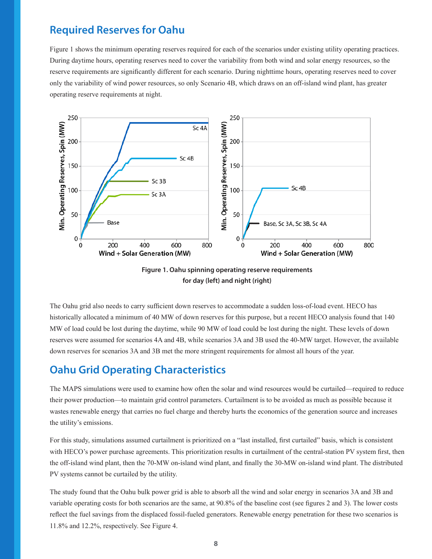### **Required Reserves for Oahu**

Figure 1 shows the minimum operating reserves required for each of the scenarios under existing utility operating practices. During daytime hours, operating reserves need to cover the variability from both wind and solar energy resources, so the reserve requirements are significantly different for each scenario. During nighttime hours, operating reserves need to cover only the variability of wind power resources, so only Scenario 4B, which draws on an off-island wind plant, has greater operating reserve requirements at night.



**Figure 1. Oahu spinning operating reserve requirements for day (left) and night (right)** 

The Oahu grid also needs to carry sufficient down reserves to accommodate a sudden loss-of-load event. HECO has historically allocated a minimum of 40 MW of down reserves for this purpose, but a recent HECO analysis found that 140 MW of load could be lost during the daytime, while 90 MW of load could be lost during the night. These levels of down reserves were assumed for scenarios 4A and 4B, while scenarios 3A and 3B used the 40-MW target. However, the available down reserves for scenarios 3A and 3B met the more stringent requirements for almost all hours of the year.

### **Oahu Grid Operating Characteristics**

The MAPS simulations were used to examine how often the solar and wind resources would be curtailed—required to reduce their power production—to maintain grid control parameters. Curtailment is to be avoided as much as possible because it wastes renewable energy that carries no fuel charge and thereby hurts the economics of the generation source and increases the utility's emissions.

For this study, simulations assumed curtailment is prioritized on a "last installed, first curtailed" basis, which is consistent with HECO's power purchase agreements. This prioritization results in curtailment of the central-station PV system first, then the off-island wind plant, then the 70-MW on-island wind plant, and finally the 30-MW on-island wind plant. The distributed PV systems cannot be curtailed by the utility.

The study found that the Oahu bulk power grid is able to absorb all the wind and solar energy in scenarios 3A and 3B and variable operating costs for both scenarios are the same, at 90.8% of the baseline cost (see figures 2 and 3). The lower costs reflect the fuel savings from the displaced fossil-fueled generators. Renewable energy penetration for these two scenarios is 11.8% and 12.2%, respectively. See Figure 4.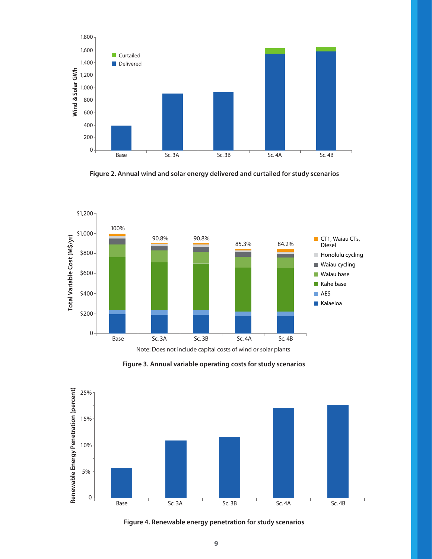

 **Figure 2. Annual wind and solar energy delivered and curtailed for study scenarios**



**Figure 3. Annual variable operating costs for study scenarios**



**Figure 4. Renewable energy penetration for study scenarios**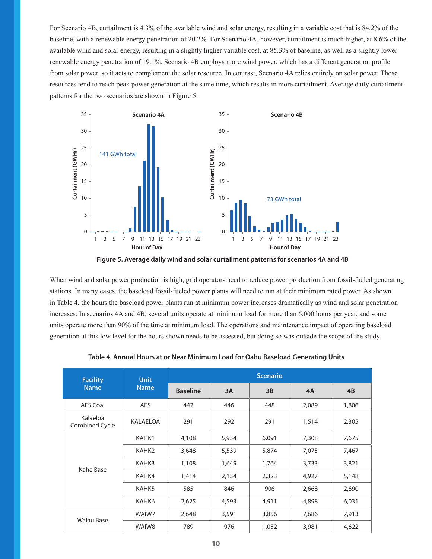For Scenario 4B, curtailment is 4.3% of the available wind and solar energy, resulting in a variable cost that is 84.2% of the baseline, with a renewable energy penetration of 20.2%. For Scenario 4A, however, curtailment is much higher, at 8.6% of the available wind and solar energy, resulting in a slightly higher variable cost, at 85.3% of baseline, as well as a slightly lower renewable energy penetration of 19.1%. Scenario 4B employs more wind power, which has a different generation profile from solar power, so it acts to complement the solar resource. In contrast, Scenario 4A relies entirely on solar power. Those resources tend to reach peak power generation at the same time, which results in more curtailment. Average daily curtailment patterns for the two scenarios are shown in Figure 5.



**Figure 5. Average daily wind and solar curtailment patterns for scenarios 4A and 4B**

When wind and solar power production is high, grid operators need to reduce power production from fossil-fueled generating stations. In many cases, the baseload fossil-fueled power plants will need to run at their minimum rated power. As shown in Table 4, the hours the baseload power plants run at minimum power increases dramatically as wind and solar penetration increases. In scenarios 4A and 4B, several units operate at minimum load for more than 6,000 hours per year, and some units operate more than 90% of the time at minimum load. The operations and maintenance impact of operating baseload generation at this low level for the hours shown needs to be assessed, but doing so was outside the scope of the study.

| <b>Facility</b>            | <b>Unit</b>     | <b>Scenario</b> |       |       |       |       |  |
|----------------------------|-----------------|-----------------|-------|-------|-------|-------|--|
| <b>Name</b>                | <b>Name</b>     | <b>Baseline</b> | 3A    | 3B    | 4A    | 4B    |  |
| <b>AES Coal</b>            | <b>AES</b>      | 442             | 446   | 448   | 2,089 | 1,806 |  |
| Kalaeloa<br>Combined Cycle | <b>KALAELOA</b> | 291             | 292   | 291   | 1,514 | 2,305 |  |
|                            | KAHK1           | 4,108           | 5,934 | 6,091 | 7,308 | 7,675 |  |
|                            | KAHK2           | 3,648           | 5,539 | 5,874 | 7,075 | 7,467 |  |
|                            | KAHK3           | 1,108           | 1,649 | 1,764 | 3,733 | 3,821 |  |
| Kahe Base                  | KAHK4           | 1,414           | 2,134 | 2,323 | 4,927 | 5,148 |  |
|                            | KAHK5           | 585             | 846   | 906   | 2,668 | 2,690 |  |
|                            | KAHK6           | 2,625           | 4,593 | 4,911 | 4,898 | 6,031 |  |
|                            | WAIW7           | 2,648           | 3,591 | 3,856 | 7,686 | 7,913 |  |
| <b>Waiau Base</b>          | WAIW8           | 789             | 976   | 1,052 | 3,981 | 4,622 |  |

**Table 4. Annual Hours at or Near Minimum Load for Oahu Baseload Generating Units**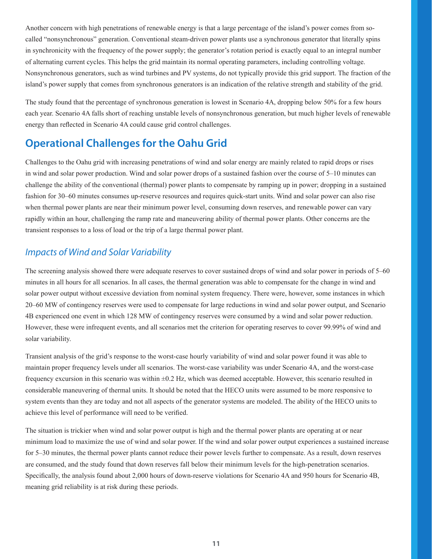Another concern with high penetrations of renewable energy is that a large percentage of the island's power comes from socalled "nonsynchronous" generation. Conventional steam-driven power plants use a synchronous generator that literally spins in synchronicity with the frequency of the power supply; the generator's rotation period is exactly equal to an integral number of alternating current cycles. This helps the grid maintain its normal operating parameters, including controlling voltage. Nonsynchronous generators, such as wind turbines and PV systems, do not typically provide this grid support. The fraction of the island's power supply that comes from synchronous generators is an indication of the relative strength and stability of the grid.

The study found that the percentage of synchronous generation is lowest in Scenario 4A, dropping below 50% for a few hours each year. Scenario 4A falls short of reaching unstable levels of nonsynchronous generation, but much higher levels of renewable energy than reflected in Scenario 4A could cause grid control challenges.

### **Operational Challenges for the Oahu Grid**

Challenges to the Oahu grid with increasing penetrations of wind and solar energy are mainly related to rapid drops or rises in wind and solar power production. Wind and solar power drops of a sustained fashion over the course of 5–10 minutes can challenge the ability of the conventional (thermal) power plants to compensate by ramping up in power; dropping in a sustained fashion for 30–60 minutes consumes up-reserve resources and requires quick-start units. Wind and solar power can also rise when thermal power plants are near their minimum power level, consuming down reserves, and renewable power can vary rapidly within an hour, challenging the ramp rate and maneuvering ability of thermal power plants. Other concerns are the transient responses to a loss of load or the trip of a large thermal power plant.

#### *Impacts of Wind and Solar Variability*

The screening analysis showed there were adequate reserves to cover sustained drops of wind and solar power in periods of 5–60 minutes in all hours for all scenarios. In all cases, the thermal generation was able to compensate for the change in wind and solar power output without excessive deviation from nominal system frequency. There were, however, some instances in which 20–60 MW of contingency reserves were used to compensate for large reductions in wind and solar power output, and Scenario 4B experienced one event in which 128 MW of contingency reserves were consumed by a wind and solar power reduction. However, these were infrequent events, and all scenarios met the criterion for operating reserves to cover 99.99% of wind and solar variability.

Transient analysis of the grid's response to the worst-case hourly variability of wind and solar power found it was able to maintain proper frequency levels under all scenarios. The worst-case variability was under Scenario 4A, and the worst-case frequency excursion in this scenario was within ±0.2 Hz, which was deemed acceptable. However, this scenario resulted in considerable maneuvering of thermal units. It should be noted that the HECO units were assumed to be more responsive to system events than they are today and not all aspects of the generator systems are modeled. The ability of the HECO units to achieve this level of performance will need to be verified.

The situation is trickier when wind and solar power output is high and the thermal power plants are operating at or near minimum load to maximize the use of wind and solar power. If the wind and solar power output experiences a sustained increase for 5–30 minutes, the thermal power plants cannot reduce their power levels further to compensate. As a result, down reserves are consumed, and the study found that down reserves fall below their minimum levels for the high-penetration scenarios. Specifically, the analysis found about 2,000 hours of down-reserve violations for Scenario 4A and 950 hours for Scenario 4B, meaning grid reliability is at risk during these periods.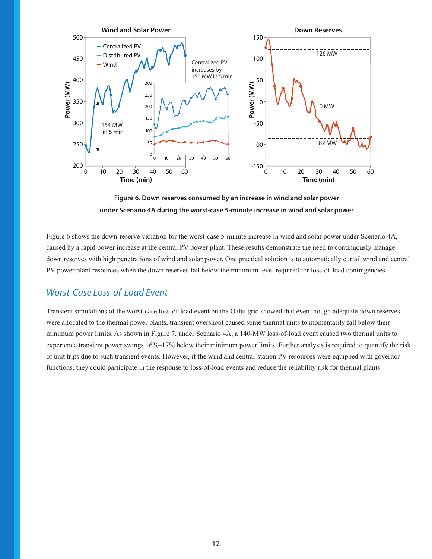

**Figure 6. Down reserves consumed by an increase in wind and solar power under Scenario 4A during the worst-case 5-minute increase in wind and solar power**

Figure 6 shows the down-reserve violation for the worst-case 5-minute increase in wind and solar power under Scenario 4A, caused by a rapid power increase at the central PV power plant. These results demonstrate the need to continuously manage down reserves with high penetrations of wind and solar power. One practical solution is to automatically curtail wind and central PV power plant resources when the down reserves fall below the minimum level required for loss-of-load contingencies.

#### *Worst-Case Loss-of-Load Event*

Transient simulations of the worst-case loss-of-load event on the Oahu grid showed that even though adequate down reserves were allocated to the thermal power plants, transient overshoot caused some thermal units to momentarily fall below their minimum power limits. As shown in Figure 7, under Scenario 4A, a 140-MW loss-of-load event caused two thermal units to experience transient power swings 16%–17% below their minimum power limits. Further analysis is required to quantify the risk of unit trips due to such transient events. However, if the wind and central-station PV resources were equipped with governor functions, they could participate in the response to loss-of-load events and reduce the reliability risk for thermal plants.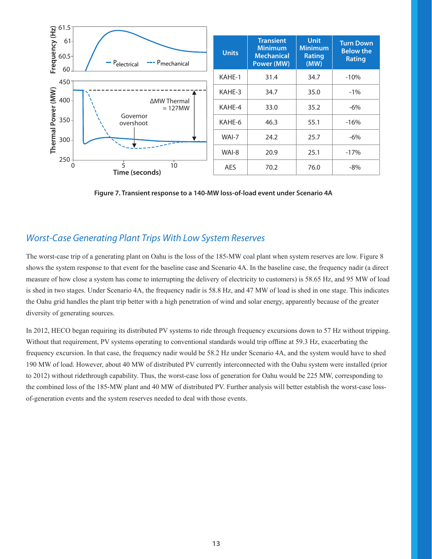

**Figure 7. Transient response to a 140-MW loss-of-load event under Scenario 4A**

#### *Worst-Case Generating Plant Trips With Low System Reserves*

The worst-case trip of a generating plant on Oahu is the loss of the 185-MW coal plant when system reserves are low. Figure 8 shows the system response to that event for the baseline case and Scenario 4A. In the baseline case, the frequency nadir (a direct measure of how close a system has come to interrupting the delivery of electricity to customers) is 58.65 Hz, and 95 MW of load is shed in two stages. Under Scenario 4A, the frequency nadir is 58.8 Hz, and 47 MW of load is shed in one stage. This indicates the Oahu grid handles the plant trip better with a high penetration of wind and solar energy, apparently because of the greater diversity of generating sources.

In 2012, HECO began requiring its distributed PV systems to ride through frequency excursions down to 57 Hz without tripping. Without that requirement, PV systems operating to conventional standards would trip offline at 59.3 Hz, exacerbating the frequency excursion. In that case, the frequency nadir would be 58.2 Hz under Scenario 4A, and the system would have to shed 190 MW of load. However, about 40 MW of distributed PV currently interconnected with the Oahu system were installed (prior to 2012) without ridethrough capability. Thus, the worst-case loss of generation for Oahu would be 225 MW, corresponding to the combined loss of the 185-MW plant and 40 MW of distributed PV. Further analysis will better establish the worst-case lossof-generation events and the system reserves needed to deal with those events.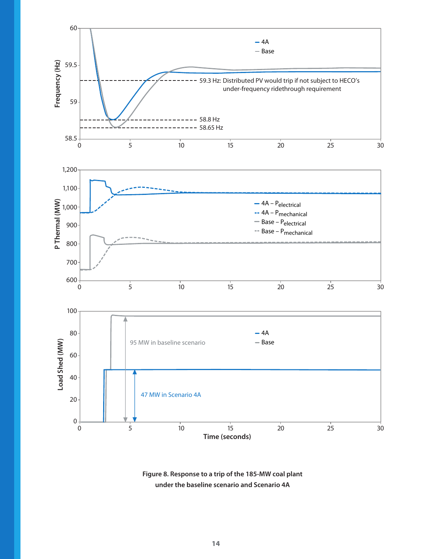

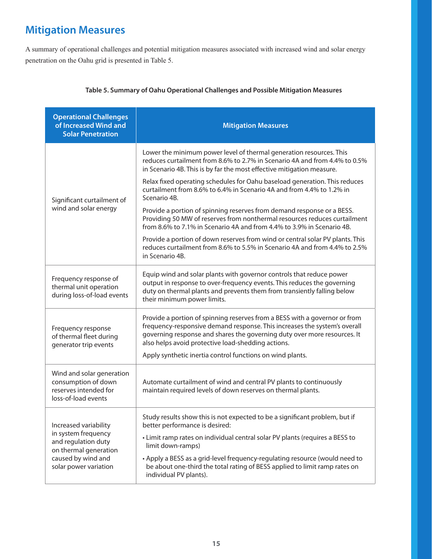## **Mitigation Measures**

A summary of operational challenges and potential mitigation measures associated with increased wind and solar energy penetration on the Oahu grid is presented in Table 5.

| <b>Operational Challenges</b><br>of Increased Wind and<br><b>Solar Penetration</b>               | <b>Mitigation Measures</b>                                                                                                                                                                                                                                                                |
|--------------------------------------------------------------------------------------------------|-------------------------------------------------------------------------------------------------------------------------------------------------------------------------------------------------------------------------------------------------------------------------------------------|
|                                                                                                  | Lower the minimum power level of thermal generation resources. This<br>reduces curtailment from 8.6% to 2.7% in Scenario 4A and from 4.4% to 0.5%<br>in Scenario 4B. This is by far the most effective mitigation measure.                                                                |
| Significant curtailment of                                                                       | Relax fixed operating schedules for Oahu baseload generation. This reduces<br>curtailment from 8.6% to 6.4% in Scenario 4A and from 4.4% to 1.2% in<br>Scenario 4B.                                                                                                                       |
| wind and solar energy                                                                            | Provide a portion of spinning reserves from demand response or a BESS.<br>Providing 50 MW of reserves from nonthermal resources reduces curtailment<br>from 8.6% to 7.1% in Scenario 4A and from 4.4% to 3.9% in Scenario 4B.                                                             |
|                                                                                                  | Provide a portion of down reserves from wind or central solar PV plants. This<br>reduces curtailment from 8.6% to 5.5% in Scenario 4A and from 4.4% to 2.5%<br>in Scenario 4B.                                                                                                            |
| Frequency response of<br>thermal unit operation<br>during loss-of-load events                    | Equip wind and solar plants with governor controls that reduce power<br>output in response to over-frequency events. This reduces the governing<br>duty on thermal plants and prevents them from transiently falling below<br>their minimum power limits.                                 |
| Frequency response<br>of thermal fleet during<br>generator trip events                           | Provide a portion of spinning reserves from a BESS with a governor or from<br>frequency-responsive demand response. This increases the system's overall<br>governing response and shares the governing duty over more resources. It<br>also helps avoid protective load-shedding actions. |
|                                                                                                  | Apply synthetic inertia control functions on wind plants.                                                                                                                                                                                                                                 |
| Wind and solar generation<br>consumption of down<br>reserves intended for<br>loss-of-load events | Automate curtailment of wind and central PV plants to continuously<br>maintain required levels of down reserves on thermal plants.                                                                                                                                                        |
| Increased variability<br>in system frequency                                                     | Study results show this is not expected to be a significant problem, but if<br>better performance is desired:                                                                                                                                                                             |
| and regulation duty<br>on thermal generation<br>caused by wind and<br>solar power variation      | • Limit ramp rates on individual central solar PV plants (requires a BESS to<br>limit down-ramps)                                                                                                                                                                                         |
|                                                                                                  | • Apply a BESS as a grid-level frequency-regulating resource (would need to<br>be about one-third the total rating of BESS applied to limit ramp rates on<br>individual PV plants).                                                                                                       |

#### **Table 5. Summary of Oahu Operational Challenges and Possible Mitigation Measures**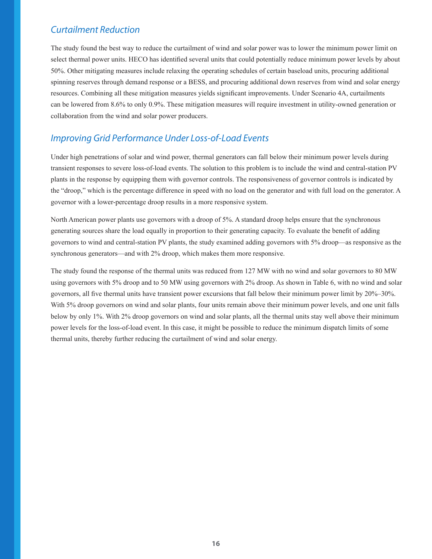#### *Curtailment Reduction*

The study found the best way to reduce the curtailment of wind and solar power was to lower the minimum power limit on select thermal power units. HECO has identified several units that could potentially reduce minimum power levels by about 50%. Other mitigating measures include relaxing the operating schedules of certain baseload units, procuring additional spinning reserves through demand response or a BESS, and procuring additional down reserves from wind and solar energy resources. Combining all these mitigation measures yields significant improvements. Under Scenario 4A, curtailments can be lowered from 8.6% to only 0.9%. These mitigation measures will require investment in utility-owned generation or collaboration from the wind and solar power producers.

#### *Improving Grid Performance Under Loss-of-Load Events*

Under high penetrations of solar and wind power, thermal generators can fall below their minimum power levels during transient responses to severe loss-of-load events. The solution to this problem is to include the wind and central-station PV plants in the response by equipping them with governor controls. The responsiveness of governor controls is indicated by the "droop," which is the percentage difference in speed with no load on the generator and with full load on the generator. A governor with a lower-percentage droop results in a more responsive system.

North American power plants use governors with a droop of 5%. A standard droop helps ensure that the synchronous generating sources share the load equally in proportion to their generating capacity. To evaluate the benefit of adding governors to wind and central-station PV plants, the study examined adding governors with 5% droop—as responsive as the synchronous generators—and with 2% droop, which makes them more responsive.

The study found the response of the thermal units was reduced from 127 MW with no wind and solar governors to 80 MW using governors with 5% droop and to 50 MW using governors with 2% droop. As shown in Table 6, with no wind and solar governors, all five thermal units have transient power excursions that fall below their minimum power limit by 20%–30%. With 5% droop governors on wind and solar plants, four units remain above their minimum power levels, and one unit falls below by only 1%. With 2% droop governors on wind and solar plants, all the thermal units stay well above their minimum power levels for the loss-of-load event. In this case, it might be possible to reduce the minimum dispatch limits of some thermal units, thereby further reducing the curtailment of wind and solar energy.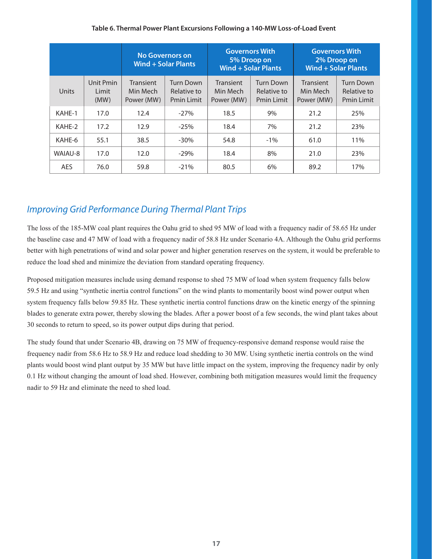#### **Table 6. Thermal Power Plant Excursions Following a 140-MW Loss-of-Load Event**

|         |                            | <b>No Governors on</b><br>Wind + Solar Plants |                                               |                                            | <b>Governors With</b><br>5% Droop on<br><b>Wind + Solar Plants</b> | <b>Governors With</b><br>2% Droop on<br>Wind + Solar Plants |                                               |  |
|---------|----------------------------|-----------------------------------------------|-----------------------------------------------|--------------------------------------------|--------------------------------------------------------------------|-------------------------------------------------------------|-----------------------------------------------|--|
| Units   | Unit Pmin<br>Limit<br>(MW) | <b>Transient</b><br>Min Mech<br>Power (MW)    | Turn Down<br>Relative to<br><b>Pmin Limit</b> | <b>Transient</b><br>Min Mech<br>Power (MW) | Turn Down<br>Relative to<br><b>Pmin Limit</b>                      | <b>Transient</b><br>Min Mech<br>Power (MW)                  | Turn Down<br>Relative to<br><b>Pmin Limit</b> |  |
| KAHE-1  | 17.0                       | 12.4                                          | $-27%$                                        | 18.5                                       | 9%                                                                 | 21.2                                                        | 25%                                           |  |
| KAHE-2  | 17.2                       | 12.9                                          | $-25%$                                        | 18.4                                       | 7%                                                                 | 21.2                                                        | 23%                                           |  |
| KAHE-6  | 55.1                       | 38.5                                          | $-30\%$                                       | 54.8                                       | $-1\%$                                                             | 61.0                                                        | 11%                                           |  |
| WAIAU-8 | 17.0                       | 12.0                                          | $-29%$                                        | 18.4                                       | 8%                                                                 | 21.0                                                        | 23%                                           |  |
| AES     | 76.0                       | 59.8                                          | $-21%$                                        | 80.5                                       | 6%                                                                 | 89.2                                                        | 17%                                           |  |

#### *Improving Grid Performance During Thermal Plant Trips*

The loss of the 185-MW coal plant requires the Oahu grid to shed 95 MW of load with a frequency nadir of 58.65 Hz under the baseline case and 47 MW of load with a frequency nadir of 58.8 Hz under Scenario 4A. Although the Oahu grid performs better with high penetrations of wind and solar power and higher generation reserves on the system, it would be preferable to reduce the load shed and minimize the deviation from standard operating frequency.

Proposed mitigation measures include using demand response to shed 75 MW of load when system frequency falls below 59.5 Hz and using "synthetic inertia control functions" on the wind plants to momentarily boost wind power output when system frequency falls below 59.85 Hz. These synthetic inertia control functions draw on the kinetic energy of the spinning blades to generate extra power, thereby slowing the blades. After a power boost of a few seconds, the wind plant takes about 30 seconds to return to speed, so its power output dips during that period.

The study found that under Scenario 4B, drawing on 75 MW of frequency-responsive demand response would raise the frequency nadir from 58.6 Hz to 58.9 Hz and reduce load shedding to 30 MW. Using synthetic inertia controls on the wind plants would boost wind plant output by 35 MW but have little impact on the system, improving the frequency nadir by only 0.1 Hz without changing the amount of load shed. However, combining both mitigation measures would limit the frequency nadir to 59 Hz and eliminate the need to shed load.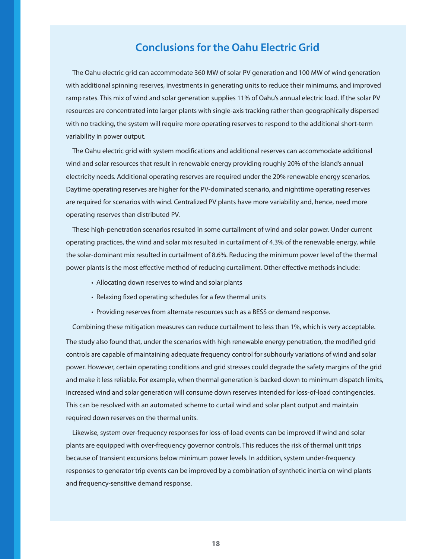#### **Conclusions for the Oahu Electric Grid**

The Oahu electric grid can accommodate 360 MW of solar PV generation and 100 MW of wind generation with additional spinning reserves, investments in generating units to reduce their minimums, and improved ramp rates. This mix of wind and solar generation supplies 11% of Oahu's annual electric load. If the solar PV resources are concentrated into larger plants with single-axis tracking rather than geographically dispersed with no tracking, the system will require more operating reserves to respond to the additional short-term variability in power output.

The Oahu electric grid with system modifications and additional reserves can accommodate additional wind and solar resources that result in renewable energy providing roughly 20% of the island's annual electricity needs. Additional operating reserves are required under the 20% renewable energy scenarios. Daytime operating reserves are higher for the PV-dominated scenario, and nighttime operating reserves are required for scenarios with wind. Centralized PV plants have more variability and, hence, need more operating reserves than distributed PV.

These high-penetration scenarios resulted in some curtailment of wind and solar power. Under current operating practices, the wind and solar mix resulted in curtailment of 4.3% of the renewable energy, while the solar-dominant mix resulted in curtailment of 8.6%. Reducing the minimum power level of the thermal power plants is the most effective method of reducing curtailment. Other effective methods include:

- Allocating down reserves to wind and solar plants
- Relaxing fixed operating schedules for a few thermal units
- Providing reserves from alternate resources such as a BESS or demand response.

Combining these mitigation measures can reduce curtailment to less than 1%, which is very acceptable. The study also found that, under the scenarios with high renewable energy penetration, the modified grid controls are capable of maintaining adequate frequency control for subhourly variations of wind and solar power. However, certain operating conditions and grid stresses could degrade the safety margins of the grid and make it less reliable. For example, when thermal generation is backed down to minimum dispatch limits, increased wind and solar generation will consume down reserves intended for loss-of-load contingencies. This can be resolved with an automated scheme to curtail wind and solar plant output and maintain required down reserves on the thermal units.

Likewise, system over-frequency responses for loss-of-load events can be improved if wind and solar plants are equipped with over-frequency governor controls. This reduces the risk of thermal unit trips because of transient excursions below minimum power levels. In addition, system under-frequency responses to generator trip events can be improved by a combination of synthetic inertia on wind plants and frequency-sensitive demand response.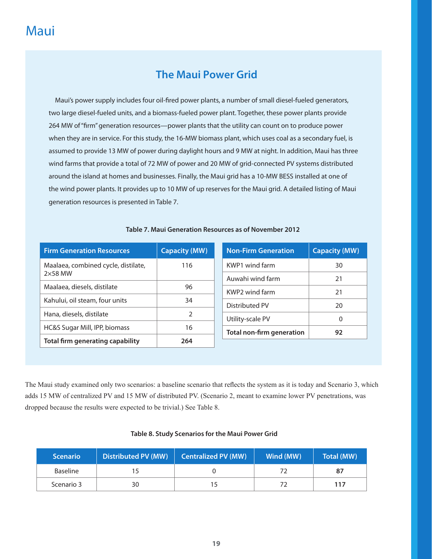### **The Maui Power Grid**

Maui's power supply includes four oil-fired power plants, a number of small diesel-fueled generators, two large diesel-fueled units, and a biomass-fueled power plant. Together, these power plants provide 264 MW of "firm" generation resources—power plants that the utility can count on to produce power when they are in service. For this study, the 16-MW biomass plant, which uses coal as a secondary fuel, is assumed to provide 13 MW of power during daylight hours and 9 MW at night. In addition, Maui has three wind farms that provide a total of 72 MW of power and 20 MW of grid-connected PV systems distributed around the island at homes and businesses. Finally, the Maui grid has a 10-MW BESS installed at one of the wind power plants. It provides up to 10 MW of up reserves for the Maui grid. A detailed listing of Maui generation resources is presented in Table 7.

| <b>Firm Generation Resources</b>        | <b>Capacity (MW)</b> | <b>Non-Firm Generation</b><br><b>Capacity (MW)</b> |
|-----------------------------------------|----------------------|----------------------------------------------------|
| Maalaea, combined cycle, distilate,     | 116                  | KWP1 wind farm<br>30                               |
| $2\times58$ MW                          |                      | Auwahi wind farm<br>21                             |
| Maalaea, diesels, distilate             | 96                   | KWP2 wind farm<br>21                               |
| Kahului, oil steam, four units          | 34                   | Distributed PV<br>20                               |
| Hana, diesels, distilate                | $\mathcal{P}$        |                                                    |
|                                         |                      | Utility-scale PV<br>0                              |
| HC&S Sugar Mill, IPP, biomass           | 16                   | <b>Total non-firm generation</b><br>92             |
| <b>Total firm generating capability</b> | 264                  |                                                    |

#### **Table 7. Maui Generation Resources as of November 2012**

The Maui study examined only two scenarios: a baseline scenario that reflects the system as it is today and Scenario 3, which adds 15 MW of centralized PV and 15 MW of distributed PV. (Scenario 2, meant to examine lower PV penetrations, was dropped because the results were expected to be trivial.) See Table 8.

#### **Table 8. Study Scenarios for the Maui Power Grid**

| <b>Scenario</b> | <b>Distributed PV (MW)</b> | <b>Centralized PV (MW)</b> | Wind (MW) | Total (MW) |
|-----------------|----------------------------|----------------------------|-----------|------------|
| <b>Baseline</b> |                            |                            |           |            |
| Scenario 3      | 30                         |                            |           | 117        |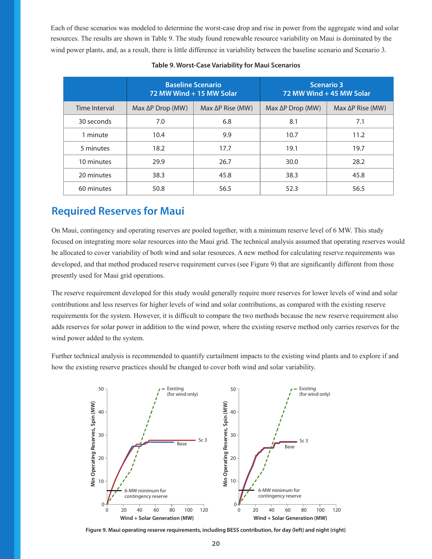Each of these scenarios was modeled to determine the worst-case drop and rise in power from the aggregate wind and solar resources. The results are shown in Table 9. The study found renewable resource variability on Maui is dominated by the wind power plants, and, as a result, there is little difference in variability between the baseline scenario and Scenario 3.

|               |                                                      | <b>Baseline Scenario</b><br>72 MW Wind + 15 MW Solar | <b>Scenario 3</b><br>72 MW Wind + 45 MW Solar |                          |  |  |
|---------------|------------------------------------------------------|------------------------------------------------------|-----------------------------------------------|--------------------------|--|--|
| Time Interval | $Max \Delta P$ Drop (MW)<br>$Max \Delta P$ Rise (MW) |                                                      | $Max \Delta P$ Drop (MW)                      | $Max \Delta P$ Rise (MW) |  |  |
| 30 seconds    | 7.0                                                  | 6.8                                                  | 8.1                                           | 7.1                      |  |  |
| 1 minute      | 10.4                                                 | 9.9                                                  | 10.7                                          | 11.2                     |  |  |
| 5 minutes     | 18.2                                                 | 17.7                                                 | 19.1                                          | 19.7                     |  |  |
| 10 minutes    | 29.9                                                 | 26.7                                                 | 30.0                                          | 28.2                     |  |  |
| 20 minutes    | 38.3                                                 | 45.8                                                 | 38.3                                          | 45.8                     |  |  |
| 60 minutes    | 50.8                                                 | 56.5                                                 | 52.3                                          | 56.5                     |  |  |

#### **Table 9. Worst-Case Variability for Maui Scenarios**

#### **Required Reserves for Maui**

On Maui, contingency and operating reserves are pooled together, with a minimum reserve level of 6 MW. This study focused on integrating more solar resources into the Maui grid. The technical analysis assumed that operating reserves would be allocated to cover variability of both wind and solar resources. A new method for calculating reserve requirements was developed, and that method produced reserve requirement curves (see Figure 9) that are significantly different from those presently used for Maui grid operations.

The reserve requirement developed for this study would generally require more reserves for lower levels of wind and solar contributions and less reserves for higher levels of wind and solar contributions, as compared with the existing reserve requirements for the system. However, it is difficult to compare the two methods because the new reserve requirement also adds reserves for solar power in addition to the wind power, where the existing reserve method only carries reserves for the wind power added to the system.

Further technical analysis is recommended to quantify curtailment impacts to the existing wind plants and to explore if and how the existing reserve practices should be changed to cover both wind and solar variability.



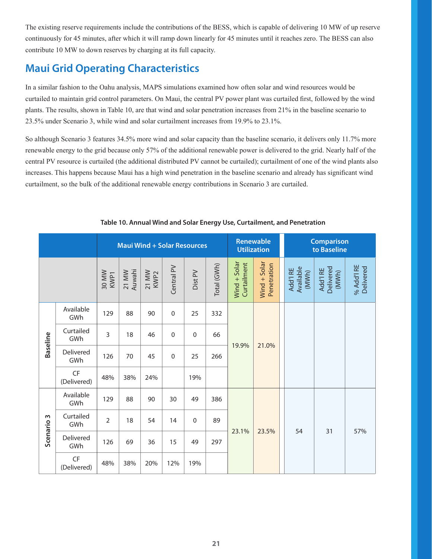The existing reserve requirements include the contributions of the BESS, which is capable of delivering 10 MW of up reserve continuously for 45 minutes, after which it will ramp down linearly for 45 minutes until it reaches zero. The BESS can also contribute 10 MW to down reserves by charging at its full capacity.

### **Maui Grid Operating Characteristics**

In a similar fashion to the Oahu analysis, MAPS simulations examined how often solar and wind resources would be curtailed to maintain grid control parameters. On Maui, the central PV power plant was curtailed first, followed by the wind plants. The results, shown in Table 10, are that wind and solar penetration increases from 21% in the baseline scenario to 23.5% under Scenario 3, while wind and solar curtailment increases from 19.9% to 23.1%.

So although Scenario 3 features 34.5% more wind and solar capacity than the baseline scenario, it delivers only 11.7% more renewable energy to the grid because only 57% of the additional renewable power is delivered to the grid. Nearly half of the central PV resource is curtailed (the additional distributed PV cannot be curtailed); curtailment of one of the wind plants also increases. This happens because Maui has a high wind penetration in the baseline scenario and already has significant wind curtailment, so the bulk of the additional renewable energy contributions in Scenario 3 are curtailed.

| <b>Maui Wind + Solar Resources</b> |                   |                           |                             |               |             | Renewable<br><b>Utilization</b> |             | <b>Comparison</b><br>to Baseline |                               |                                |                                |                         |
|------------------------------------|-------------------|---------------------------|-----------------------------|---------------|-------------|---------------------------------|-------------|----------------------------------|-------------------------------|--------------------------------|--------------------------------|-------------------------|
|                                    |                   | 30 MW<br>KWP <sub>1</sub> | Auwahi<br>21 MW             | 21 MW<br>KWP2 | Central PV  | Dist PV                         | Total (GWh) | $Wind + Solar$<br>Curtailment    | $Wind + Solar$<br>Penetration | Available<br>Add'I RE<br>(MWh) | Delivered<br>Add'l RE<br>(MWh) | % Add'l RE<br>Delivered |
| <b>Baseline</b>                    | Available<br>GWh  | 129                       | 88                          | 90            | $\mathbf 0$ | 25                              | 332         | 19.9%                            | 21.0%                         |                                |                                |                         |
|                                    | Curtailed<br>GWh  | $\overline{3}$            | 18                          | 46            | $\mathbf 0$ | $\mathbf 0$                     | 66          |                                  |                               |                                |                                |                         |
|                                    | Delivered<br>GWh  | 126                       | 70                          | 45            | $\mathbf 0$ | 25                              | 266         |                                  |                               |                                |                                |                         |
|                                    | CF<br>(Delivered) | 48%                       | 38%                         | 24%           |             | 19%                             |             |                                  |                               |                                |                                |                         |
|                                    | Available<br>GWh  | 129                       | 88<br>30<br>90<br>49<br>386 |               |             |                                 |             |                                  |                               |                                |                                |                         |
| Scenario 3                         | Curtailed<br>GWh  | $\overline{2}$            | 18                          | 54            | 14          | $\mathbf 0$                     | 89          | 23.1%                            | 23.5%                         | 54                             | 31                             | 57%                     |
|                                    | Delivered<br>GWh  | 126                       | 69                          | 36            | 15          | 49                              | 297         |                                  |                               |                                |                                |                         |
|                                    | CF<br>(Delivered) | 48%                       | 38%                         | 20%           | 12%         | 19%                             |             |                                  |                               |                                |                                |                         |

#### **Table 10. Annual Wind and Solar Energy Use, Curtailment, and Penetration**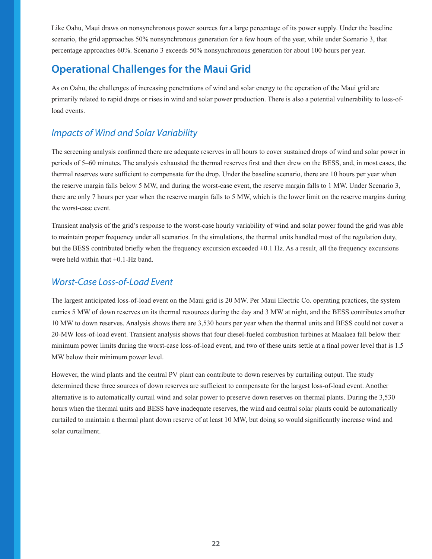Like Oahu, Maui draws on nonsynchronous power sources for a large percentage of its power supply. Under the baseline scenario, the grid approaches 50% nonsynchronous generation for a few hours of the year, while under Scenario 3, that percentage approaches 60%. Scenario 3 exceeds 50% nonsynchronous generation for about 100 hours per year.

### **Operational Challenges for the Maui Grid**

As on Oahu, the challenges of increasing penetrations of wind and solar energy to the operation of the Maui grid are primarily related to rapid drops or rises in wind and solar power production. There is also a potential vulnerability to loss-ofload events.

#### *Impacts of Wind and Solar Variability*

The screening analysis confirmed there are adequate reserves in all hours to cover sustained drops of wind and solar power in periods of 5–60 minutes. The analysis exhausted the thermal reserves first and then drew on the BESS, and, in most cases, the thermal reserves were sufficient to compensate for the drop. Under the baseline scenario, there are 10 hours per year when the reserve margin falls below 5 MW, and during the worst-case event, the reserve margin falls to 1 MW. Under Scenario 3, there are only 7 hours per year when the reserve margin falls to 5 MW, which is the lower limit on the reserve margins during the worst-case event.

Transient analysis of the grid's response to the worst-case hourly variability of wind and solar power found the grid was able to maintain proper frequency under all scenarios. In the simulations, the thermal units handled most of the regulation duty, but the BESS contributed briefly when the frequency excursion exceeded ±0.1 Hz. As a result, all the frequency excursions were held within that  $\pm 0.1$ -Hz band.

#### *Worst-Case Loss-of-Load Event*

The largest anticipated loss-of-load event on the Maui grid is 20 MW. Per Maui Electric Co. operating practices, the system carries 5 MW of down reserves on its thermal resources during the day and 3 MW at night, and the BESS contributes another 10 MW to down reserves. Analysis shows there are 3,530 hours per year when the thermal units and BESS could not cover a 20-MW loss-of-load event. Transient analysis shows that four diesel-fueled combustion turbines at Maalaea fall below their minimum power limits during the worst-case loss-of-load event, and two of these units settle at a final power level that is 1.5 MW below their minimum power level.

However, the wind plants and the central PV plant can contribute to down reserves by curtailing output. The study determined these three sources of down reserves are sufficient to compensate for the largest loss-of-load event. Another alternative is to automatically curtail wind and solar power to preserve down reserves on thermal plants. During the 3,530 hours when the thermal units and BESS have inadequate reserves, the wind and central solar plants could be automatically curtailed to maintain a thermal plant down reserve of at least 10 MW, but doing so would significantly increase wind and solar curtailment.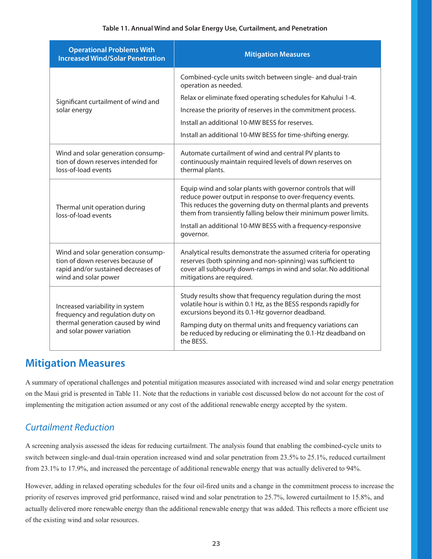#### **Table 11. Annual Wind and Solar Energy Use, Curtailment, and Penetration**

| <b>Operational Problems With</b><br><b>Increased Wind/Solar Penetration</b>                                                           | <b>Mitigation Measures</b>                                                                                                                                                                                                                                                                                                                  |  |  |  |  |
|---------------------------------------------------------------------------------------------------------------------------------------|---------------------------------------------------------------------------------------------------------------------------------------------------------------------------------------------------------------------------------------------------------------------------------------------------------------------------------------------|--|--|--|--|
|                                                                                                                                       | Combined-cycle units switch between single- and dual-train<br>operation as needed.                                                                                                                                                                                                                                                          |  |  |  |  |
| Significant curtailment of wind and                                                                                                   | Relax or eliminate fixed operating schedules for Kahului 1-4.                                                                                                                                                                                                                                                                               |  |  |  |  |
| solar energy                                                                                                                          | Increase the priority of reserves in the commitment process.                                                                                                                                                                                                                                                                                |  |  |  |  |
|                                                                                                                                       | Install an additional 10-MW BESS for reserves.                                                                                                                                                                                                                                                                                              |  |  |  |  |
|                                                                                                                                       | Install an additional 10-MW BESS for time-shifting energy.                                                                                                                                                                                                                                                                                  |  |  |  |  |
| Wind and solar generation consump-<br>tion of down reserves intended for<br>loss-of-load events                                       | Automate curtailment of wind and central PV plants to<br>continuously maintain required levels of down reserves on<br>thermal plants.                                                                                                                                                                                                       |  |  |  |  |
| Thermal unit operation during<br>loss-of-load events                                                                                  | Equip wind and solar plants with governor controls that will<br>reduce power output in response to over-frequency events.<br>This reduces the governing duty on thermal plants and prevents<br>them from transiently falling below their minimum power limits.<br>Install an additional 10-MW BESS with a frequency-responsive<br>governor. |  |  |  |  |
| Wind and solar generation consump-<br>tion of down reserves because of<br>rapid and/or sustained decreases of<br>wind and solar power | Analytical results demonstrate the assumed criteria for operating<br>reserves (both spinning and non-spinning) was sufficient to<br>cover all subhourly down-ramps in wind and solar. No additional<br>mitigations are required.                                                                                                            |  |  |  |  |
| Increased variability in system<br>frequency and regulation duty on<br>thermal generation caused by wind<br>and solar power variation | Study results show that frequency regulation during the most<br>volatile hour is within 0.1 Hz, as the BESS responds rapidly for<br>excursions beyond its 0.1-Hz governor deadband.<br>Ramping duty on thermal units and frequency variations can<br>be reduced by reducing or eliminating the 0.1-Hz deadband on<br>the BESS.              |  |  |  |  |

#### **Mitigation Measures**

A summary of operational challenges and potential mitigation measures associated with increased wind and solar energy penetration on the Maui grid is presented in Table 11. Note that the reductions in variable cost discussed below do not account for the cost of implementing the mitigation action assumed or any cost of the additional renewable energy accepted by the system.

#### *Curtailment Reduction*

A screening analysis assessed the ideas for reducing curtailment. The analysis found that enabling the combined-cycle units to switch between single-and dual-train operation increased wind and solar penetration from 23.5% to 25.1%, reduced curtailment from 23.1% to 17.9%, and increased the percentage of additional renewable energy that was actually delivered to 94%.

However, adding in relaxed operating schedules for the four oil-fired units and a change in the commitment process to increase the priority of reserves improved grid performance, raised wind and solar penetration to 25.7%, lowered curtailment to 15.8%, and actually delivered more renewable energy than the additional renewable energy that was added. This reflects a more efficient use of the existing wind and solar resources.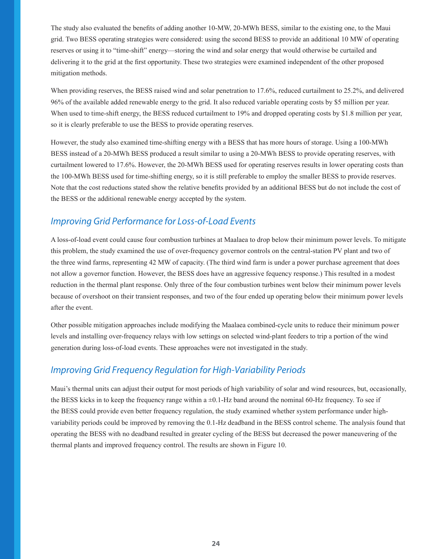The study also evaluated the benefits of adding another 10-MW, 20-MWh BESS, similar to the existing one, to the Maui grid. Two BESS operating strategies were considered: using the second BESS to provide an additional 10 MW of operating reserves or using it to "time-shift" energy—storing the wind and solar energy that would otherwise be curtailed and delivering it to the grid at the first opportunity. These two strategies were examined independent of the other proposed mitigation methods.

When providing reserves, the BESS raised wind and solar penetration to 17.6%, reduced curtailment to 25.2%, and delivered 96% of the available added renewable energy to the grid. It also reduced variable operating costs by \$5 million per year. When used to time-shift energy, the BESS reduced curtailment to 19% and dropped operating costs by \$1.8 million per year, so it is clearly preferable to use the BESS to provide operating reserves.

However, the study also examined time-shifting energy with a BESS that has more hours of storage. Using a 100-MWh BESS instead of a 20-MWh BESS produced a result similar to using a 20-MWh BESS to provide operating reserves, with curtailment lowered to 17.6%. However, the 20-MWh BESS used for operating reserves results in lower operating costs than the 100-MWh BESS used for time-shifting energy, so it is still preferable to employ the smaller BESS to provide reserves. Note that the cost reductions stated show the relative benefits provided by an additional BESS but do not include the cost of the BESS or the additional renewable energy accepted by the system.

#### *Improving Grid Performance for Loss-of-Load Events*

A loss-of-load event could cause four combustion turbines at Maalaea to drop below their minimum power levels. To mitigate this problem, the study examined the use of over-frequency governor controls on the central-station PV plant and two of the three wind farms, representing 42 MW of capacity. (The third wind farm is under a power purchase agreement that does not allow a governor function. However, the BESS does have an aggressive fequency response.) This resulted in a modest reduction in the thermal plant response. Only three of the four combustion turbines went below their minimum power levels because of overshoot on their transient responses, and two of the four ended up operating below their minimum power levels after the event.

Other possible mitigation approaches include modifying the Maalaea combined-cycle units to reduce their minimum power levels and installing over-frequency relays with low settings on selected wind-plant feeders to trip a portion of the wind generation during loss-of-load events. These approaches were not investigated in the study.

#### *Improving Grid Frequency Regulation for High-Variability Periods*

Maui's thermal units can adjust their output for most periods of high variability of solar and wind resources, but, occasionally, the BESS kicks in to keep the frequency range within  $a \pm 0.1$ -Hz band around the nominal 60-Hz frequency. To see if the BESS could provide even better frequency regulation, the study examined whether system performance under highvariability periods could be improved by removing the 0.1-Hz deadband in the BESS control scheme. The analysis found that operating the BESS with no deadband resulted in greater cycling of the BESS but decreased the power maneuvering of the thermal plants and improved frequency control. The results are shown in Figure 10.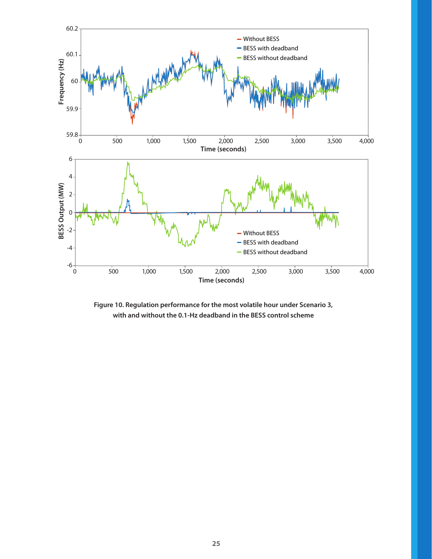

**Figure 10. Regulation performance for the most volatile hour under Scenario 3, with and without the 0.1-Hz deadband in the BESS control scheme**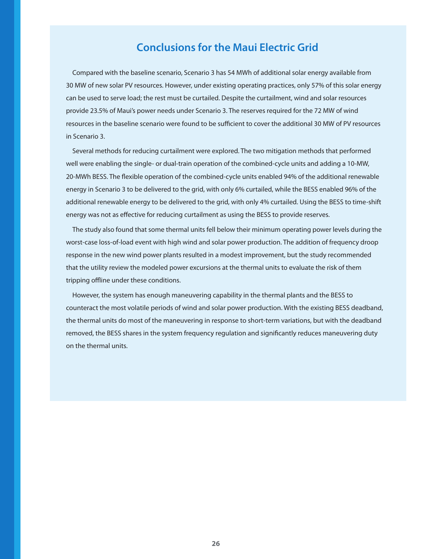#### **Conclusions for the Maui Electric Grid**

Compared with the baseline scenario, Scenario 3 has 54 MWh of additional solar energy available from 30 MW of new solar PV resources. However, under existing operating practices, only 57% of this solar energy can be used to serve load; the rest must be curtailed. Despite the curtailment, wind and solar resources provide 23.5% of Maui's power needs under Scenario 3. The reserves required for the 72 MW of wind resources in the baseline scenario were found to be sufficient to cover the additional 30 MW of PV resources in Scenario 3.

Several methods for reducing curtailment were explored. The two mitigation methods that performed well were enabling the single- or dual-train operation of the combined-cycle units and adding a 10-MW, 20-MWh BESS. The flexible operation of the combined-cycle units enabled 94% of the additional renewable energy in Scenario 3 to be delivered to the grid, with only 6% curtailed, while the BESS enabled 96% of the additional renewable energy to be delivered to the grid, with only 4% curtailed. Using the BESS to time-shift energy was not as effective for reducing curtailment as using the BESS to provide reserves.

The study also found that some thermal units fell below their minimum operating power levels during the worst-case loss-of-load event with high wind and solar power production. The addition of frequency droop response in the new wind power plants resulted in a modest improvement, but the study recommended that the utility review the modeled power excursions at the thermal units to evaluate the risk of them tripping offline under these conditions.

However, the system has enough maneuvering capability in the thermal plants and the BESS to counteract the most volatile periods of wind and solar power production. With the existing BESS deadband, the thermal units do most of the maneuvering in response to short-term variations, but with the deadband removed, the BESS shares in the system frequency regulation and significantly reduces maneuvering duty on the thermal units.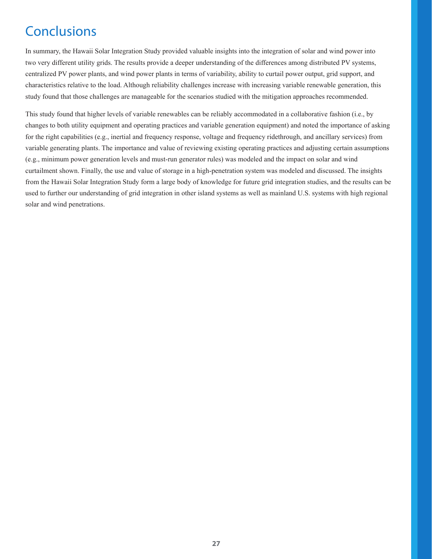## **Conclusions**

In summary, the Hawaii Solar Integration Study provided valuable insights into the integration of solar and wind power into two very different utility grids. The results provide a deeper understanding of the differences among distributed PV systems, centralized PV power plants, and wind power plants in terms of variability, ability to curtail power output, grid support, and characteristics relative to the load. Although reliability challenges increase with increasing variable renewable generation, this study found that those challenges are manageable for the scenarios studied with the mitigation approaches recommended.

This study found that higher levels of variable renewables can be reliably accommodated in a collaborative fashion (i.e., by changes to both utility equipment and operating practices and variable generation equipment) and noted the importance of asking for the right capabilities (e.g., inertial and frequency response, voltage and frequency ridethrough, and ancillary services) from variable generating plants. The importance and value of reviewing existing operating practices and adjusting certain assumptions (e.g., minimum power generation levels and must-run generator rules) was modeled and the impact on solar and wind curtailment shown. Finally, the use and value of storage in a high-penetration system was modeled and discussed. The insights from the Hawaii Solar Integration Study form a large body of knowledge for future grid integration studies, and the results can be used to further our understanding of grid integration in other island systems as well as mainland U.S. systems with high regional solar and wind penetrations.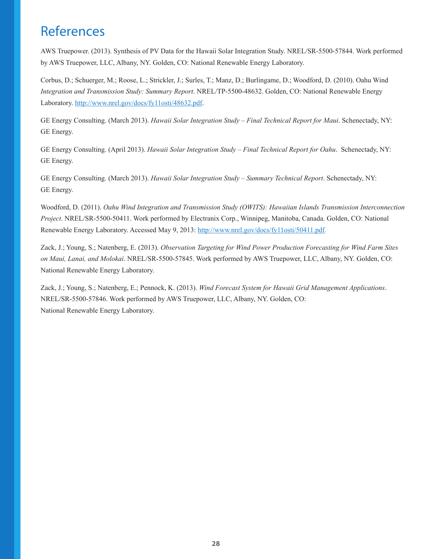## **References**

AWS Truepower. (2013). Synthesis of PV Data for the Hawaii Solar Integration Study. NREL/SR-5500-57844. Work performed by AWS Truepower, LLC, Albany, NY. Golden, CO: National Renewable Energy Laboratory.

Corbus, D.; Schuerger, M.; Roose, L.; Strickler, J.; Surles, T.; Manz, D.; Burlingame, D.; Woodford, D. (2010). Oahu Wind *Integration and Transmission Study: Summary Report*. NREL/TP-5500-48632. Golden, CO: National Renewable Energy Laboratory. http://www.nrel.gov/docs/fy11osti/48632.pdf.

GE Energy Consulting. (March 2013). *Hawaii Solar Integration Study – Final Technical Report for Maui*. Schenectady, NY: GE Energy.

GE Energy Consulting. (April 2013). *Hawaii Solar Integration Study – Final Technical Report for Oahu*. Schenectady, NY: GE Energy.

GE Energy Consulting. (March 2013). *Hawaii Solar Integration Study – Summary Technical Report*. Schenectady, NY: GE Energy.

Woodford, D. (2011). *Oahu Wind Integration and Transmission Study (OWITS): Hawaiian Islands Transmission Interconnection Project*. NREL/SR-5500-50411. Work performed by Electranix Corp., Winnipeg, Manitoba, Canada. Golden, CO: National Renewable Energy Laboratory. Accessed May 9, 2013: http://www.nrel.gov/docs/fy11osti/50411.pdf.

Zack, J.; Young, S.; Natenberg, E. (2013). *Observation Targeting for Wind Power Production Forecasting for Wind Farm Sites on Maui, Lanai, and Molokai*. NREL/SR-5500-57845. Work performed by AWS Truepower, LLC, Albany, NY. Golden, CO: National Renewable Energy Laboratory.

Zack, J.; Young, S.; Natenberg, E.; Pennock, K. (2013). *Wind Forecast System for Hawaii Grid Management Applications*. NREL/SR-5500-57846. Work performed by AWS Truepower, LLC, Albany, NY. Golden, CO: National Renewable Energy Laboratory.